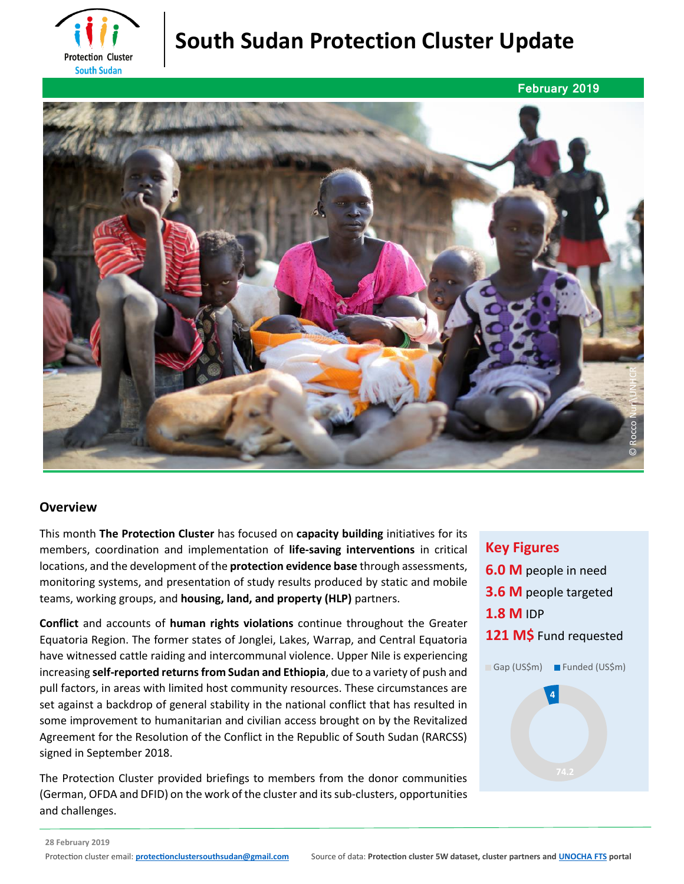

# **South Sudan Protection Cluster Update**



### **Overview**

This month **The Protection Cluster** has focused on **capacity building** initiatives for its members, coordination and implementation of **life-saving interventions** in critical locations, and the development of the **protection evidence base** through assessments, monitoring systems, and presentation of study results produced by static and mobile teams, working groups, and **housing, land, and property (HLP)** partners.

**Conflict** and accounts of **human rights violations** continue throughout the Greater Equatoria Region. The former states of Jonglei, Lakes, Warrap, and Central Equatoria have witnessed cattle raiding and intercommunal violence. Upper Nile is experiencing increasing **self-reported returns from Sudan and Ethiopia**, due to a variety of push and pull factors, in areas with limited host community resources. These circumstances are set against a backdrop of general stability in the national conflict that has resulted in some improvement to humanitarian and civilian access brought on by the Revitalized Agreement for the Resolution of the Conflict in the Republic of South Sudan (RARCSS) signed in September 2018.

The Protection Cluster provided briefings to members from the donor communities (German, OFDA and DFID) on the work of the cluster and its sub-clusters, opportunities and challenges.

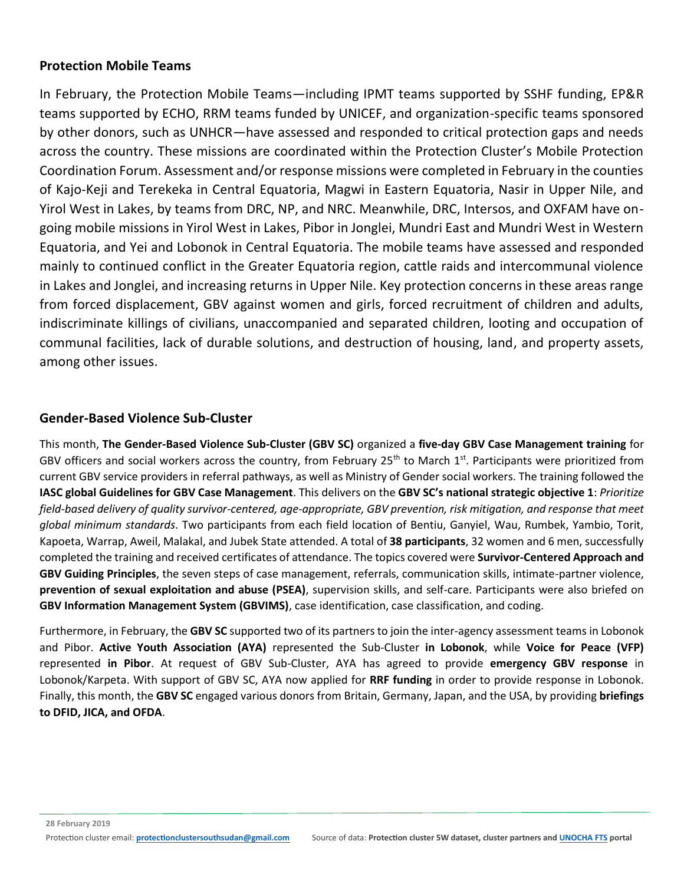#### **Protection Mobile Teams**

In February, the Protection Mobile Teams—including IPMT teams supported by SSHF funding, EP&R teams supported by ECHO, RRM teams funded by UNICEF, and organization-specific teams sponsored by other donors, such as UNHCR—have assessed and responded to critical protection gaps and needs across the country. These missions are coordinated within the Protection Cluster's Mobile Protection Coordination Forum. Assessment and/or response missions were completed in February in the counties of Kajo-Keji and Terekeka in Central Equatoria, Magwi in Eastern Equatoria, Nasir in Upper Nile, and Yirol West in Lakes, by teams from DRC, NP, and NRC. Meanwhile, DRC, Intersos, and OXFAM have ongoing mobile missions in Yirol West in Lakes, Pibor in Jonglei, Mundri East and Mundri West in Western Equatoria, and Yei and Lobonok in Central Equatoria. The mobile teams have assessed and responded mainly to continued conflict in the Greater Equatoria region, cattle raids and intercommunal violence in Lakes and Jonglei, and increasing returns in Upper Nile. Key protection concerns in these areas range from forced displacement, GBV against women and girls, forced recruitment of children and adults, indiscriminate killings of civilians, unaccompanied and separated children, looting and occupation of communal facilities, lack of durable solutions, and destruction of housing, land, and property assets, among other issues.

### **Gender-Based Violence Sub-Cluster**

This month, **The Gender-Based Violence Sub-Cluster (GBV SC)** organized a **five-day GBV Case Management training** for GBV officers and social workers across the country, from February 25<sup>th</sup> to March 1<sup>st</sup>. Participants were prioritized from current GBV service providers in referral pathways, as well as Ministry of Gender social workers. The training followed the **IASC global Guidelines for GBV Case Management**. This delivers on the **GBV SC's national strategic objective 1**: *Prioritize field-based delivery of quality survivor-centered, age-appropriate, GBV prevention, risk mitigation, and response that meet global minimum standards*. Two participants from each field location of Bentiu, Ganyiel, Wau, Rumbek, Yambio, Torit, Kapoeta, Warrap, Aweil, Malakal, and Jubek State attended. A total of **38 participants**, 32 women and 6 men, successfully completed the training and received certificates of attendance. The topics covered were **Survivor-Centered Approach and GBV Guiding Principles**, the seven steps of case management, referrals, communication skills, intimate-partner violence, **prevention of sexual exploitation and abuse (PSEA)**, supervision skills, and self-care. Participants were also briefed on **GBV Information Management System (GBVIMS)**, case identification, case classification, and coding.

Furthermore, in February, the **GBV SC** supported two of its partners to join the inter-agency assessment teams in Lobonok and Pibor. **Active Youth Association (AYA)** represented the Sub-Cluster **in Lobonok**, while **Voice for Peace (VFP)** represented **in Pibor**. At request of GBV Sub-Cluster, AYA has agreed to provide **emergency GBV response** in Lobonok/Karpeta. With support of GBV SC, AYA now applied for **RRF funding** in order to provide response in Lobonok. Finally, this month, the **GBV SC** engaged various donors from Britain, Germany, Japan, and the USA, by providing **briefings to DFID, JICA, and OFDA**.

**28 February 2019**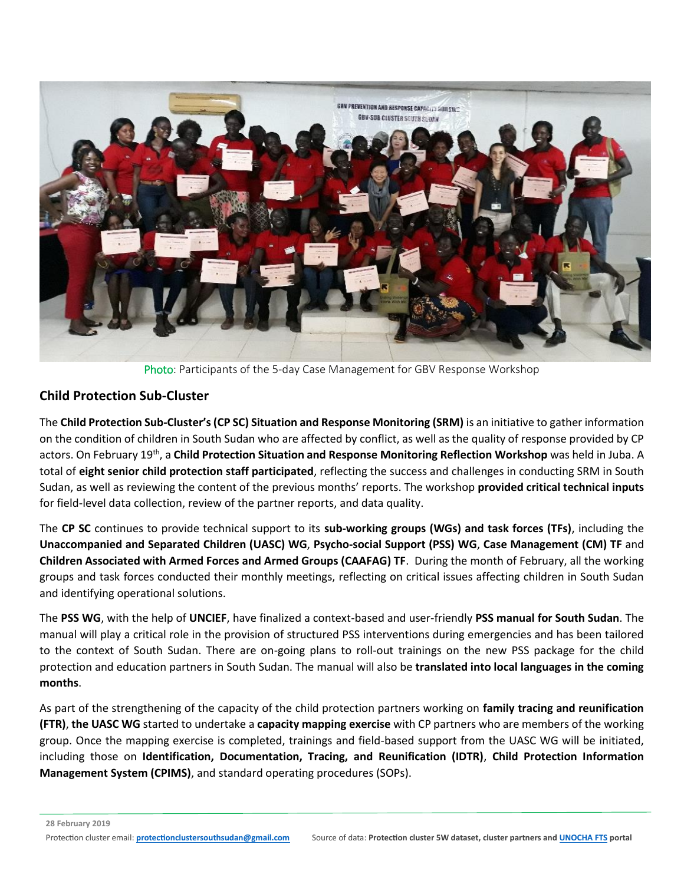

Photo: Participants of the 5-day Case Management for GBV Response Workshop

### **Child Protection Sub-Cluster**

The **Child Protection Sub-Cluster's (CP SC) Situation and Response Monitoring (SRM)** is an initiative to gather information on the condition of children in South Sudan who are affected by conflict, as well as the quality of response provided by CP actors. On February 19th, a **Child Protection Situation and Response Monitoring Reflection Workshop** was held in Juba. A total of **eight senior child protection staff participated**, reflecting the success and challenges in conducting SRM in South Sudan, as well as reviewing the content of the previous months' reports. The workshop **provided critical technical inputs** for field-level data collection, review of the partner reports, and data quality.

The **CP SC** continues to provide technical support to its **sub-working groups (WGs) and task forces (TFs)**, including the **Unaccompanied and Separated Children (UASC) WG**, **Psycho-social Support (PSS) WG**, **Case Management (CM) TF** and **Children Associated with Armed Forces and Armed Groups (CAAFAG) TF**. During the month of February, all the working groups and task forces conducted their monthly meetings, reflecting on critical issues affecting children in South Sudan and identifying operational solutions.

The **PSS WG**, with the help of **UNCIEF**, have finalized a context-based and user-friendly **PSS manual for South Sudan**. The manual will play a critical role in the provision of structured PSS interventions during emergencies and has been tailored to the context of South Sudan. There are on-going plans to roll-out trainings on the new PSS package for the child protection and education partners in South Sudan. The manual will also be **translated into local languages in the coming months**.

As part of the strengthening of the capacity of the child protection partners working on **family tracing and reunification (FTR)**, **the UASC WG** started to undertake a **capacity mapping exercise** with CP partners who are members of the working group. Once the mapping exercise is completed, trainings and field-based support from the UASC WG will be initiated, including those on **Identification, Documentation, Tracing, and Reunification (IDTR)**, **Child Protection Information Management System (CPIMS)**, and standard operating procedures (SOPs).

**28 February 2019**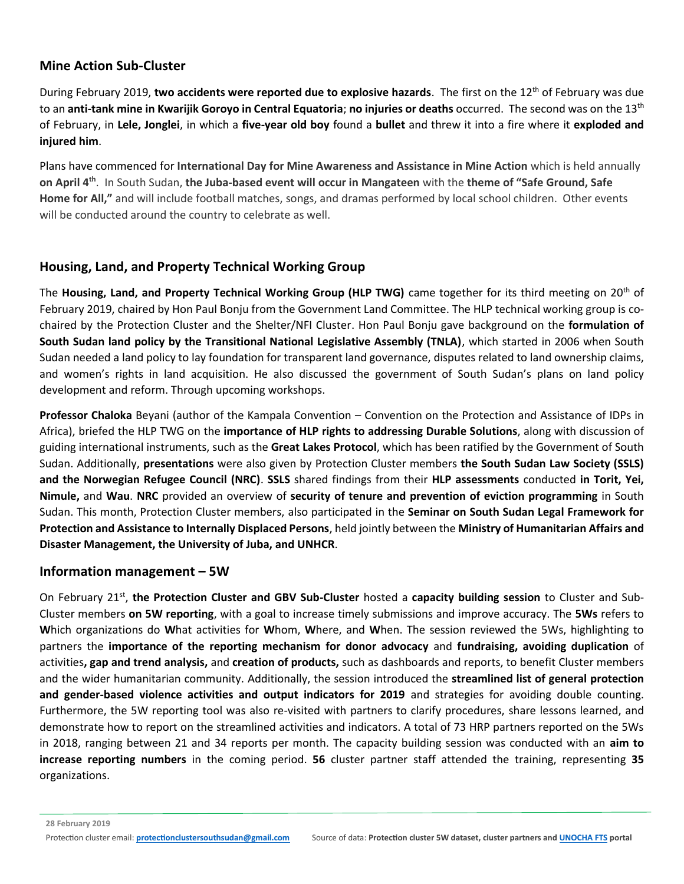### **Mine Action Sub-Cluster**

During February 2019, **two accidents were reported due to explosive hazards**. The first on the 12th of February was due to an **anti-tank mine in Kwarijik Goroyo in Central Equatoria**; **no injuries or deaths** occurred. The second was on the 13th of February, in **Lele, Jonglei**, in which a **five-year old boy** found a **bullet** and threw it into a fire where it **exploded and injured him**.

Plans have commenced for **International Day for Mine Awareness and Assistance in Mine Action** which is held annually **on April 4th**. In South Sudan, **the Juba-based event will occur in Mangateen** with the **theme of "Safe Ground, Safe Home for All,"** and will include football matches, songs, and dramas performed by local school children. Other events will be conducted around the country to celebrate as well.

### **Housing, Land, and Property Technical Working Group**

The **Housing, Land, and Property Technical Working Group (HLP TWG)** came together for its third meeting on 20th of February 2019, chaired by Hon Paul Bonju from the Government Land Committee. The HLP technical working group is cochaired by the Protection Cluster and the Shelter/NFI Cluster. Hon Paul Bonju gave background on the **formulation of South Sudan land policy by the Transitional National Legislative Assembly (TNLA)**, which started in 2006 when South Sudan needed a land policy to lay foundation for transparent land governance, disputes related to land ownership claims, and women's rights in land acquisition. He also discussed the government of South Sudan's plans on land policy development and reform. Through upcoming workshops.

**Professor Chaloka** Beyani (author of the Kampala Convention – Convention on the Protection and Assistance of IDPs in Africa), briefed the HLP TWG on the **importance of HLP rights to addressing Durable Solutions**, along with discussion of guiding international instruments, such as the **Great Lakes Protocol**, which has been ratified by the Government of South Sudan. Additionally, **presentations** were also given by Protection Cluster members **the South Sudan Law Society (SSLS) and the Norwegian Refugee Council (NRC)**. **SSLS** shared findings from their **HLP assessments** conducted **in Torit, Yei, Nimule,** and **Wau**. **NRC** provided an overview of **security of tenure and prevention of eviction programming** in South Sudan. This month, Protection Cluster members, also participated in the **Seminar on South Sudan Legal Framework for Protection and Assistance to Internally Displaced Persons**, held jointly between the **Ministry of Humanitarian Affairs and Disaster Management, the University of Juba, and UNHCR**.

#### **Information management – 5W**

On February 21<sup>st</sup>, the Protection Cluster and GBV Sub-Cluster hosted a capacity building session to Cluster and Sub-Cluster members **on 5W reporting**, with a goal to increase timely submissions and improve accuracy. The **5Ws** refers to **W**hich organizations do **W**hat activities for **W**hom, **W**here, and **W**hen. The session reviewed the 5Ws, highlighting to partners the **importance of the reporting mechanism for donor advocacy** and **fundraising, avoiding duplication** of activities**, gap and trend analysis,** and **creation of products,** such as dashboards and reports, to benefit Cluster members and the wider humanitarian community. Additionally, the session introduced the **streamlined list of general protection and gender-based violence activities and output indicators for 2019** and strategies for avoiding double counting. Furthermore, the 5W reporting tool was also re-visited with partners to clarify procedures, share lessons learned, and demonstrate how to report on the streamlined activities and indicators. A total of 73 HRP partners reported on the 5Ws in 2018, ranging between 21 and 34 reports per month. The capacity building session was conducted with an **aim to increase reporting numbers** in the coming period. **56** cluster partner staff attended the training, representing **35** organizations.

**28 February 2019**